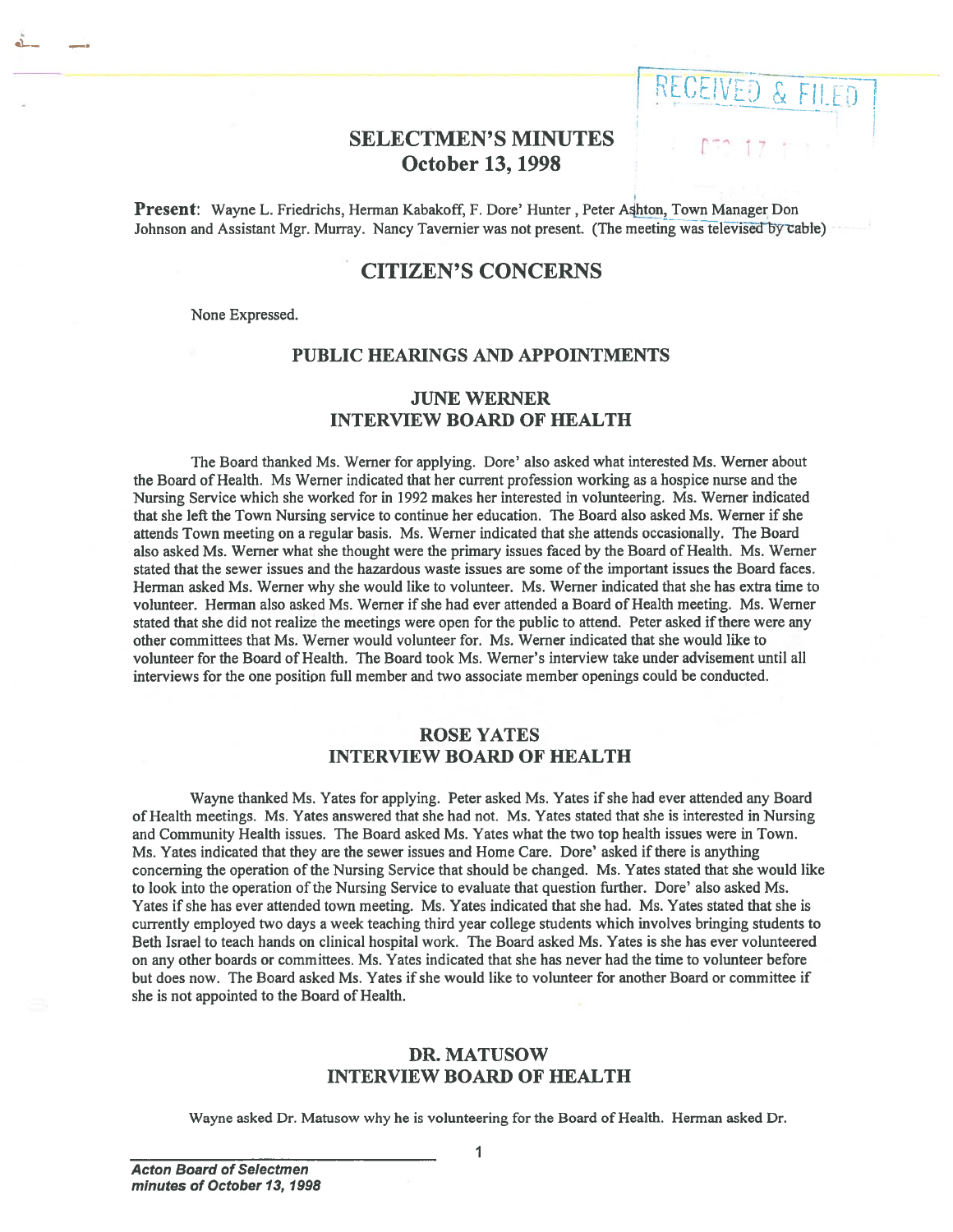# **SELECTMEN'S MINUTES** October 13, 1998

**IVED & FILED** 

Present: Wayne L. Friedrichs, Herman Kabakoff, F. Dore' Hunter, Peter Ashton, Town Manager Don Johnson and Assistant Mgr. Murray. Nancy Tavernier was not present. (The meeting was televised by cable)

## CITIZEN'S CONCERNS

None Expressed.

### PUBLIC HEARINGS AND APPOINTMENTS

## JUNE WERNER INTERVIEW BOARD Of HEALTH

The Board thanked Ms. Werner for applying. Dore' also asked what interested Ms. Werner about the Board of Health. Ms Werner indicated that her current profession working as <sup>a</sup> hospice nurse and the Nursing Service which she worked for in 1992 makes her interested in volunteering. Ms. Werner indicated that she left the Town Nursing service to continue her education. The Board also asked Ms. Werner if she attends Town meeting on <sup>a</sup> regular basis. Ms. Werner indicated that she attends occasionally. The Board also asked Ms. Werner what she thought were the primary issues faced by the Board of Health. Ms. Werner stated that the sewer issues and the hazardous waste issues are some of the important issues the Board faces. Herman asked Ms. Werner why she would like to volunteer. Ms. Werner indicated that she has extra time to volunteer. Herman also asked Ms. Werner if she had ever attended <sup>a</sup> Board of Health meeting. Ms. Werner stated that she did not realize the meetings were open for the public to attend. Peter asked ifthere were any other committees that Ms. Werner would volunteer for. Ms. Werner indicated that she would like to volunteer for the Board of Health. The Board took Ms. Werner's interview take under advisement until all interviews for the one positipn full member and two associate member openings could be conducted.

### ROSE YATES INTERVIEW BOARD OF HEALTH

Wayne thanked Ms. Yates for applying. Peter asked Ms. Yates if she had ever attended any Board of Health meetings. Ms. Yates answered that she had not. Ms. Yates stated that she is interested in Nursing and Community Health issues. The Board asked Ms. Yates what the two top health issues were in Town. Ms. Yates indicated that they are the sewer issues and Home Care. Dore' asked if there is anything concerning the operation of the Nursing Service that should be changed. Ms. Yates stated that she would like to look into the operation of the Nursing Service to evaluate that question further. Dore' also asked Ms. Yates if she has ever attended town meeting. Ms. Yates indicated that she had. Ms. Yates stated that she is currently employed two days <sup>a</sup> week teaching third year college students which involves bringing students to Beth Israel to teach hands on clinical hospital work. The Board asked Ms. Yates is she has ever volunteered on any other boards or committees. Ms. Yates indicated that she has never had the time to volunteer before but does now. The Board asked Ms. Yates if she would like to volunteer for another Board or committee if she is not appointed to the Board of Health.

## DR. MATUSOW INTERVIEW BOARD OF HEALTH

Wayne asked Dr. Matusow why he is volunteering for the Board of Health. Herman asked Dr.

I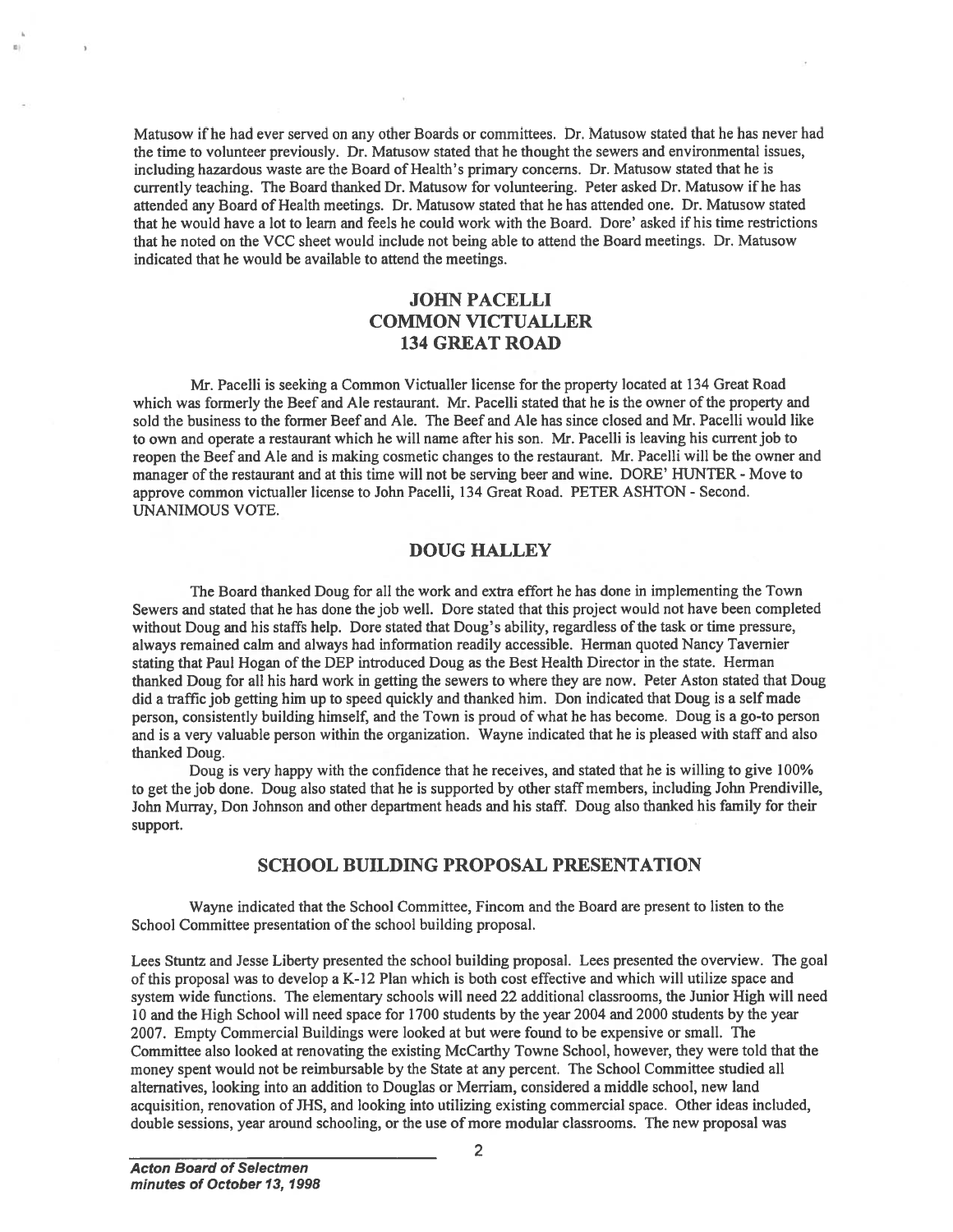Matusow if he had ever served on any other Boards or committees. Dr. Matusow stated that he has never had the time to volunteer previously. Dr. Matusow stated that he thought the sewers and environmental issues, including hazardous waste are the Board of Health's primary concerns. Dr. Matusow stated that he is currently teaching. The Board thanked Dr. Matusow for volunteering. Peter asked Dr. Matusow if he has attended any Board of Health meetings. Dr. Matusow stated that he has attended one. Dr. Matusow stated that he would have <sup>a</sup> lot to learn and feels he could work with the Board. Dore' asked if his time restrictions that he noted on the VCC sheet would include not being able to attend the Board meetings. Dr. Matusow indicated that he would be available to attend the meetings.

## JOHN PACELLI COMMON VICTUALLER 134 GREAT ROAD

Mr. Pacelli is seeking <sup>a</sup> Common Victualler license for the property located at 134 Great Road which was formerly the Beef and Ale restaurant. Mr. Pacelli stated that he is the owner of the property and sold the business to the former Beef and Ale. The Beef and Ale has since closed and Mr. Pacelli would like to own and operate <sup>a</sup> restaurant which he will name after his son. Mr. Pacelli is leaving his current job to reopen the Beef and Ale and is making cosmetic changes to the restaurant. Mr. Pacelli will be the owner and manager of the restaurant and at this time will not be serving beer and wine. DORE' HUNTER - Move to approve common victualler license to John Pacelli, 134 Great Road. PETER ASHTON - Second. UNANIMOUS VOTE.

### DOUG HALLEY

The Board thanked Doug for all the work and extra effort he has done in implementing the Town Sewers and stated that he has done the job well. Dore stated that this project would not have been completed without Doug and his staffs help. Dore stated that Doug's ability, regardless of the task or time pressure, always remained calm and always had information readily accessible. Herman quoted Nancy Tavemier stating that Paul Hogan of the DEP introduced Doug as the Best Health Director in the state. Herman thanked Doug for alt his hard work in getting the sewers to where they are now. Peter Aston stated that Doug did <sup>a</sup> traffic job getting him up to speed quickly and thanked him. Don indicated that Doug is <sup>a</sup> self made person, consistently building himself, and the Town is proud of what he has become. Doug is <sup>a</sup> go-to person and is <sup>a</sup> very valuable person within the organization. Wayne indicated that he is pleased with staff and also thanked Doug.

Doug is very happy with the confidence that he receives, and stated that he is willing to give 100% to ge<sup>t</sup> the job done. Doug also stated that he is supported by other staff members, including John Prendiville, John Murray, Don Johnson and other department heads and his staff. Doug also thanked his family for their support.

## SCHOOL BUILDING PROPOSAL PRESENTATION

Wayne indicated that the School Committee, Fincom and the Board are presen<sup>t</sup> to listen to the School Committee presentation of the school building proposal.

Lees Stuntz and Jesse Liberty presented the school building proposal. Lees presented the overview. The goal of this proposal was to develop <sup>a</sup> K-12 Plan which is both cost effective and which will utilize space and system wide functions. The elementary schools wilt need 22 additional classrooms, the Junior High will need 10 and the High School will need space for 1700 students by the year 2004 and 2000 students by the year 2007. Empty Commercial Buildings were looked at but were found to be expensive or small. The Committee also looked at renovating the existing McCarthy Towne School, however, they were told that the money spen<sup>t</sup> would not be reimbursable by the State at any percent. The School Committee studied all alternatives, looking into an addition to Douglas or Merriam, considered <sup>a</sup> middle school, new land acquisition, renovation of ThIS, and looking into utilizing existing commercial space. Other ideas included, Minneow if he had ever served on any other Deacts or committees. Dr. Meancow stated that he user produced in the user are the user and that he user and conventional time in the user of more modular conventional convention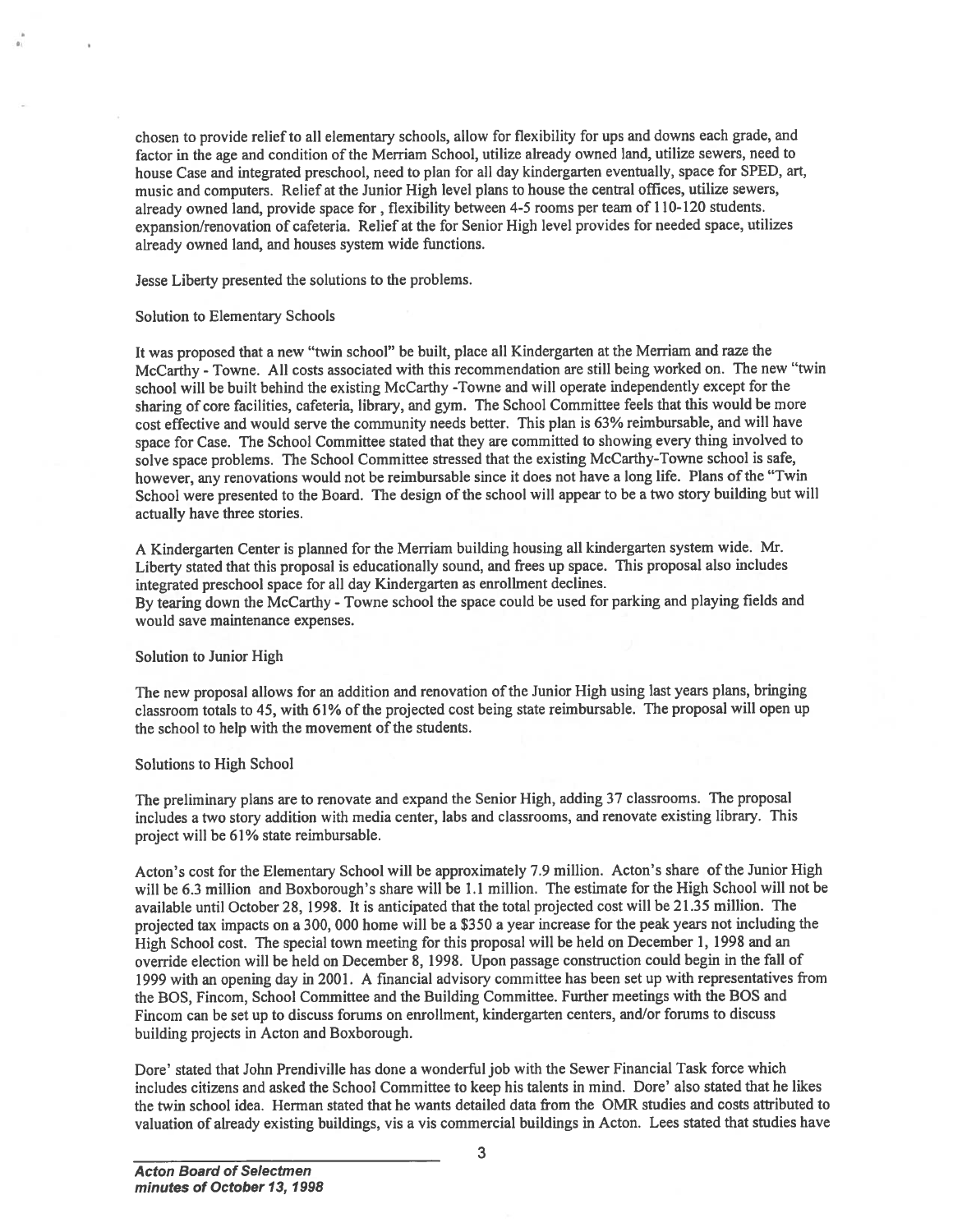chosen to provide reliefto all elementary schools, allow for flexibility for ups and downs each grade, and factor in the age and condition of the Merriam School, utilize already owned land, utilize sewers, need to house Case and integrated preschool, need to <sup>p</sup>lan for all day kindergarten eventually, space for SPED, art, music and computers. Relief at the Junior High level <sup>p</sup>lans to house the central offices, utilize sewers, already owned land, provide space for, flexibility between 4-5 rooms per team of 110-120 students. expansion/renovation of cafeteria. Relief at the for Senior High level provides for needed space, utilizes already owned land, and houses system wide functions.

Jesse Liberty presented the solutions to the problems.

#### Solution to Elementary Schools

It was propose<sup>d</sup> that <sup>a</sup> new "twin school" be built, <sup>p</sup>lace all Kindergarten at the Merriam and raze the McCarthy - Towne. All costs associated with this recommendation are still being worked on. The new "twin school will be built behind the existing McCarthy -Towne and will operate independently excep<sup>t</sup> for the sharing of core facilities, cafeteria, library, and gym. The School Committee feels that this would be more cost effective and would serve the community needs better. This <sup>p</sup>lan is 63% reimbursable, and will have space for Case. The School Committee stated that they are committed to showing every thing involved to solve space problems. The School Committee stressed that the existing McCarthy-Towne school is safe, however, any renovations would not be reimbursable since it does not have a long life. Plans of the "Twin School were presented to the Board. The design of the school will appear to be <sup>a</sup> two story building but will actually have three stories.

<sup>A</sup> Kindergarten Center is <sup>p</sup>lanned for the Merriam building housing all kindergarten system wide. Mr. Liberty stated that this proposa<sup>l</sup> is educationally sound, and frees up space. This proposa<sup>l</sup> also includes integrated preschool space for all day Kindergarten as enrollment declines.

By tearing down the McCarthy -Towne school the space could be used for parking and <sup>p</sup>laying fields and would save maintenance expenses.

#### Solution to Junior High

The new proposal allows for an addition and renovation of the Junior High using last years plans, bringing classroom totals to 45, with 61% of the projected cost being state reimbursable. The proposal will open up the school to help with the movement of the students.

#### Solutions to High School

The preliminary <sup>p</sup>lans are to renovate and expan<sup>d</sup> the Senior High, adding <sup>37</sup> classrooms. The proposa<sup>l</sup> includes <sup>a</sup> two story addition with media center, tabs and classrooms, and renovate existing library. This project will be 61% state reimbursable.

Acton's cost for the Elementary School will be approximately 7.9 million. Acton's share of the Junior High will be 6.3 million and Boxborough's share will be 1.1 million. The estimate for the High School will not be available until October 2\$, 199\$. It is anticipated that the total projected cost will be 21.35 million. The projected tax impacts on <sup>a</sup> 300, <sup>000</sup> home will be <sup>a</sup> \$350 <sup>a</sup> year increase for the pea<sup>k</sup> years not including the High School cost. The special town meeting for this proposal will be held on December 1, 1998 and an override election will be held on December 8, 1998. Upon passage construction could begin in the fall of <sup>1999</sup> with an opening day in 2001. <sup>A</sup> financial advisory committee has been set up with representatives from the BOS, Fincom, School Committee and the Building Committee. Further meetings with the BOS and Fincom can be set up to discuss forums on enrollment, kindergarten centers, and/or forums to discuss building projects in Acton and Boxborough. chosen to provide relative all elementary subords, allow for freeholity for ups and downs each grids, and factor in the age and comition of the Meriam Shock), three has the stated years are not all the studies serves, rea

Dore' stated that John Prendiville has done <sup>a</sup> wonderful job with the Sewer financial Task force which includes citizens and asked the School Committee to keep his talents in mind. Dore' also stated that he likes the twin school idea. Herman stated that he wants detailed data from the OMR studies and costs attributed to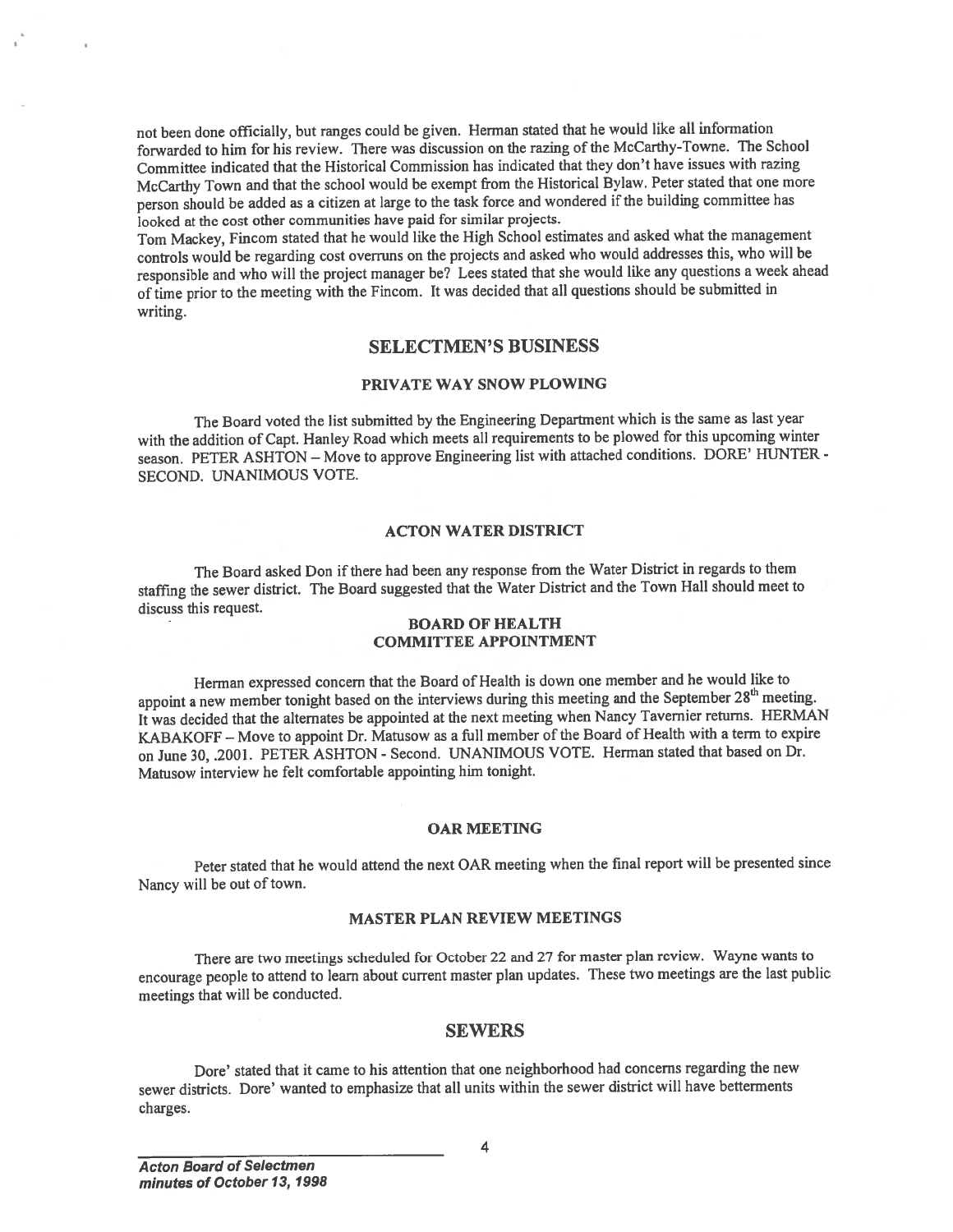not been done officially, but ranges could be <sup>g</sup>iven. Herman stated that he would like all information forwarded to him for his review. There was discussion on the razing of the McCarthy-Towne. The School Committee indicated that the Historical Commission has indicated that they don't have issues with razing McCarthy Town and that the school would be exemp<sup>t</sup> from the Historical Bylaw. Peter stated that one more person should be added as a citizen at large to the task force and wondered if the building committee has looked at the cost other communities have paid for similar projects.

Tom Mackey, Fincom stated that he would like the High School estimates and asked what the managemen<sup>t</sup> controls would be regarding cost overruns on the projects and asked who would addresses this, who will be responsible and who will the project manager be? Lees stated that she would like any questions <sup>a</sup> week ahead of time prior to the meeting with the Fincom. It was decided that all questions should be submitted in writing.

### SELECTMEN'S BUSINESS

### PRIVATE WAY SNOW PLOWING

The Board voted the list submitted by the Engineering Department which is the same as last year with the addition of Capt. Hanley Road which meets all requirements to be <sup>p</sup>lowed for this upcoming winter season. PETER ASHTON — Move to approve Engineering list with attached conditions. DORE' HUNTER - SECOND. UNANIMOUS VOTE.

### ACTON WATER DISTRICT

The Board asked Don if there had been any response from the Water District in regards to them staffmg the sewer district. The Board suggested that the Water District and the Town Hall should meet to discuss this request.

### BOARD OF HEALTH COMMITTEE APPOINTMENT

Herman expresse<sup>d</sup> concern that the Board of Health is down one member and he would like to appoint a new member tonight based on the interviews during this meeting and the September 28<sup>th</sup> meeting. It was decided that the alternates be appointed at the next meeting when Nancy Tavernier returns. HERMAN KABAKOFF — Move to appoint Dr. Matusow as <sup>a</sup> full member of the Board of Health with <sup>a</sup> term to expire on June 30, .2001. PETER ASHTON - Second. UNANIMOUS VOTE. Herman stated that based on Dr. Matusow interview he felt comfortable appointing him tonight.

#### OAR MEETING

Peter stated that he would attend the next OAR meeting when the final repor<sup>t</sup> will be presented since Nancy will be out of town.

### MASTER PLAN REVIEW MEETINGS

There are two meetings scheduled for October <sup>22</sup> and <sup>27</sup> for master <sup>p</sup>lan review. Wayne wants to encourage people to attend to learn about current master <sup>p</sup>lan updates. These two meetings are the last public meetings that will be conducted.

### **SEWERS**

Dore' stated that it came to his attention that one neighborhood had concerns regarding the new sewer districts. Dore' wanted to emphasize that all units within the sewer district will have betterments charges.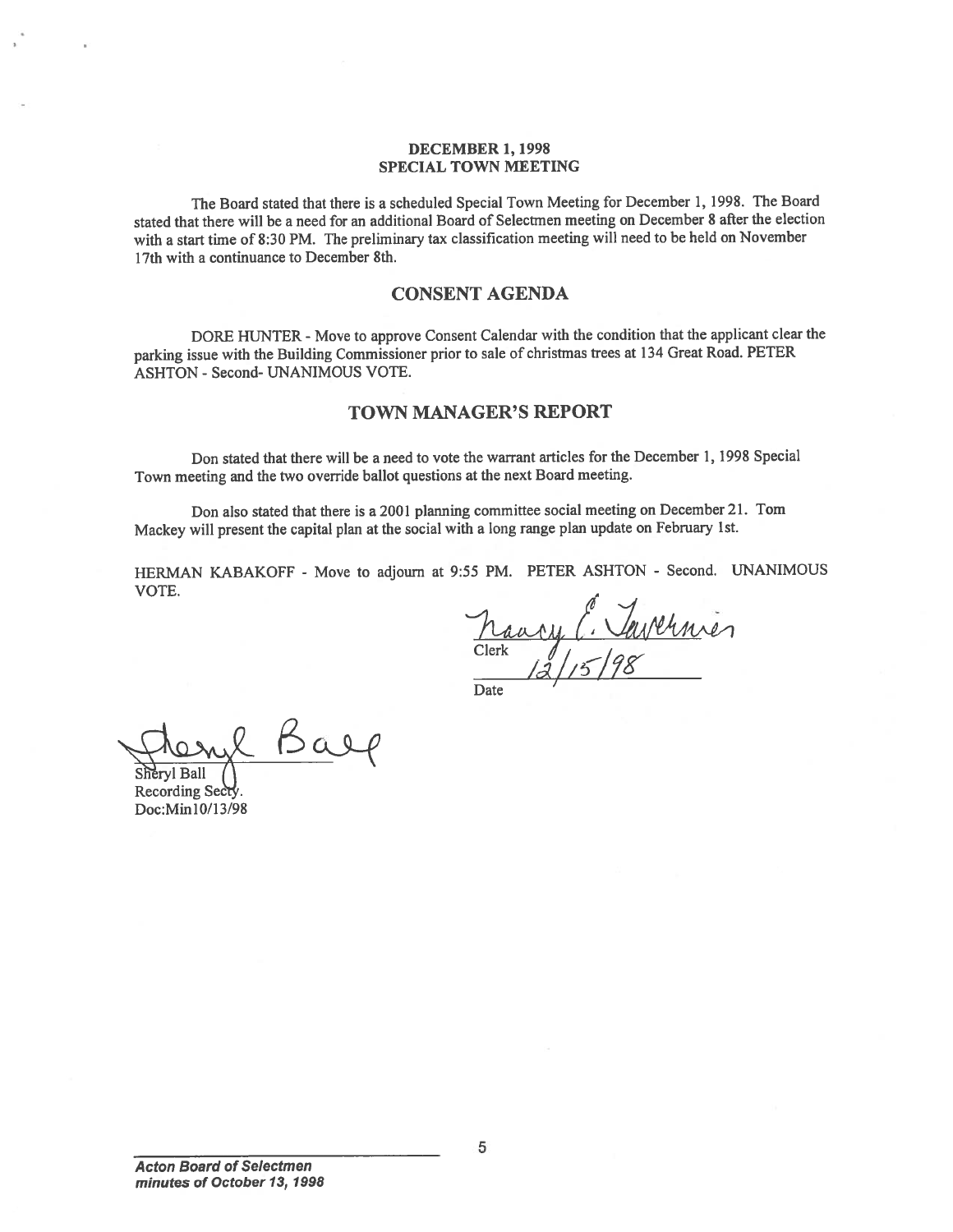#### DECEMBER 1, 1998 SPECIAL TOWN MEETING

The Board stated that there is <sup>a</sup> scheduled Special Town Meeting for December 1, 1998. The Board stated that there will be <sup>a</sup> need for an additional Board of Selectmen meeting on December 8 after the election with <sup>a</sup> start time of \$:30 PM. The preliminary tax classification meeting will need to be held on November 17th with <sup>a</sup> continuance to December 8th.

## CONSENT AGENDA

DORE HUNTER - Move to approve Consent Calendar with the condition that the applicant clear the parking issue with the Building Commissioner prior to sale of christmas trees at <sup>134</sup> Great Road. PETER ASHTON - Second- UNANIMOUS VOTE.

### TOWN MANAGER'S REPORT

Don stated that there will be <sup>a</sup> need to vote the warrant articles for the December 1, 199\$ Special Town meeting and the two override ballot questions at the next Board meeting.

Don also stated that there is <sup>a</sup> <sup>2001</sup> <sup>p</sup>lanning committee social meeting on December 21. Tom Mackey will presen<sup>t</sup> the capital <sup>p</sup>lan at the social with <sup>a</sup> long range <sup>p</sup>lan update on February 1st.

HERMAN KABAKOFF - Move to adjourn at 9:55 PM. PETER ASHTON - Second. UNANIMOUS VOTE.

Clerk  $\frac{1}{2}/5/98$ 

l Baep

Shervl Ball Recording Secty Doc:Min 10/13/98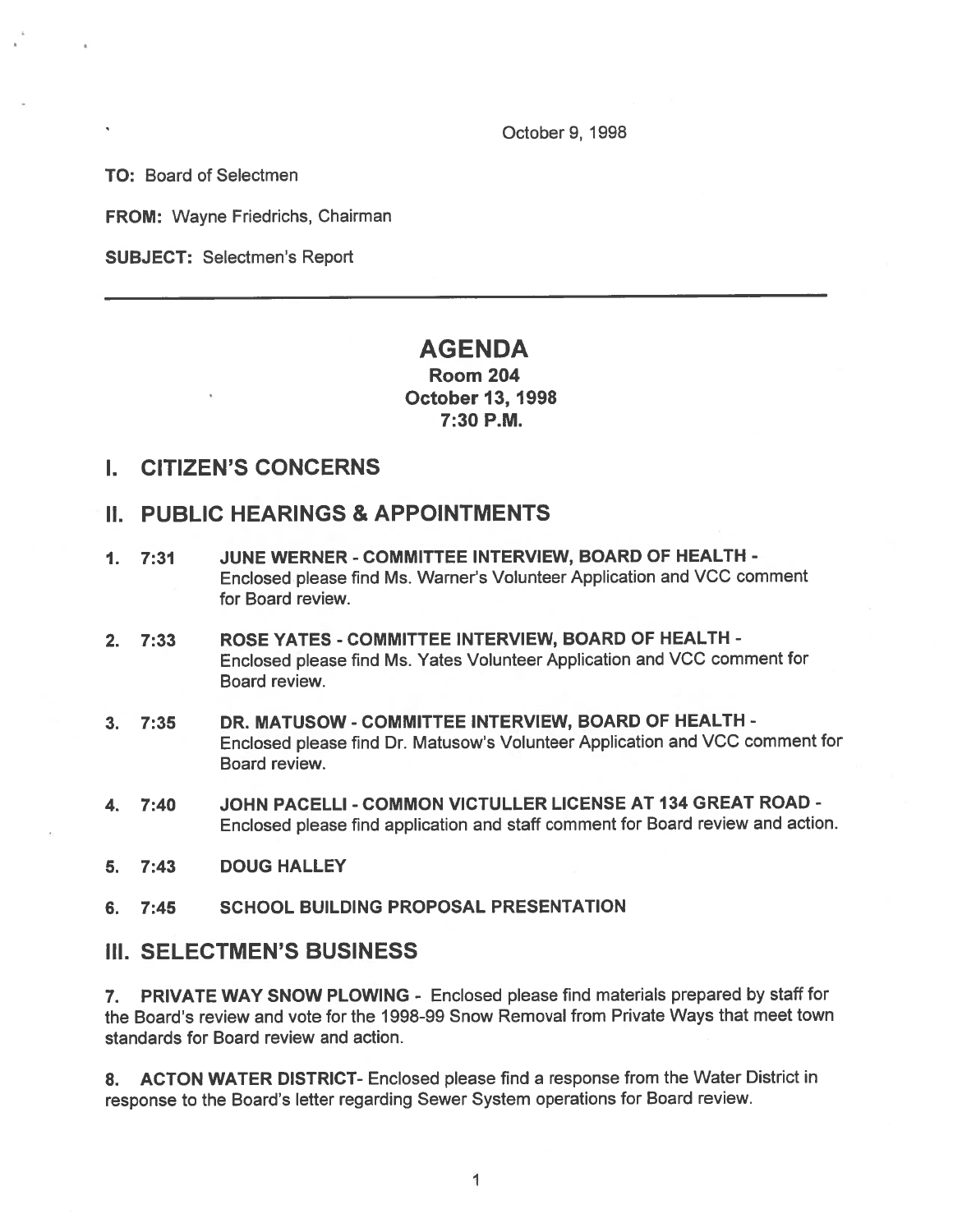October 9, 1998

TO: Board of Selectmen

FROM: Wayne Friedrichs, Chairman

SUBJECT: Selectmen's Report

# AGENDA

## Room 204 October 13, 1998 7:30 P.M.

## I. CITIZEN'S CONCERNS

# II. PUBLIC HEARINGS & APPOINTMENTS

- 1. 7:31 JUNE WERNER COMMITTEE INTERVIEW, BOARD OF HEALTH Enclosed <sup>p</sup>lease find Ms. Warner's Volunteer Application and VCC comment for Board review.
- 2. 7:33 ROSE YATES COMMITTEE INTERVIEW, BOARD OF HEALTH Enclosed <sup>p</sup>lease find Ms. Yates Volunteer Application and VCC comment for Board review.
- 3. 7:35 DR. MATUSOW COMMITTEE INTERVIEW, BOARD OF HEALTH Enclosed <sup>p</sup>lease find Dr. Matusow's Volunteer Application and VCC comment for Board review.
- 4. 7:40 JOHN PACELLI COMMON VICTULLER LICENSE AT 134 GREAT ROAD Enclosed <sup>p</sup>lease find application and staff comment for Board review and action.
- 5. 7:43 DOUG HALLEY
- 6. 7:45 SCHOOL BUILDING PROPOSAL PRESENTATION

## III. SELECTMEN'S BUSINESS

7. PRIVATE WAY SNOW PLOWING - Enclosed <sup>p</sup>lease find materials prepared by staff for the Board's review and vote for the 1998-99 Snow Removal from Private Ways that meet town standards for Board review and action.

8. ACTON WATER DISTRICT- Enclosed please find a response from the Water District in response to the Board's letter regarding Sewer System operations for Board review.